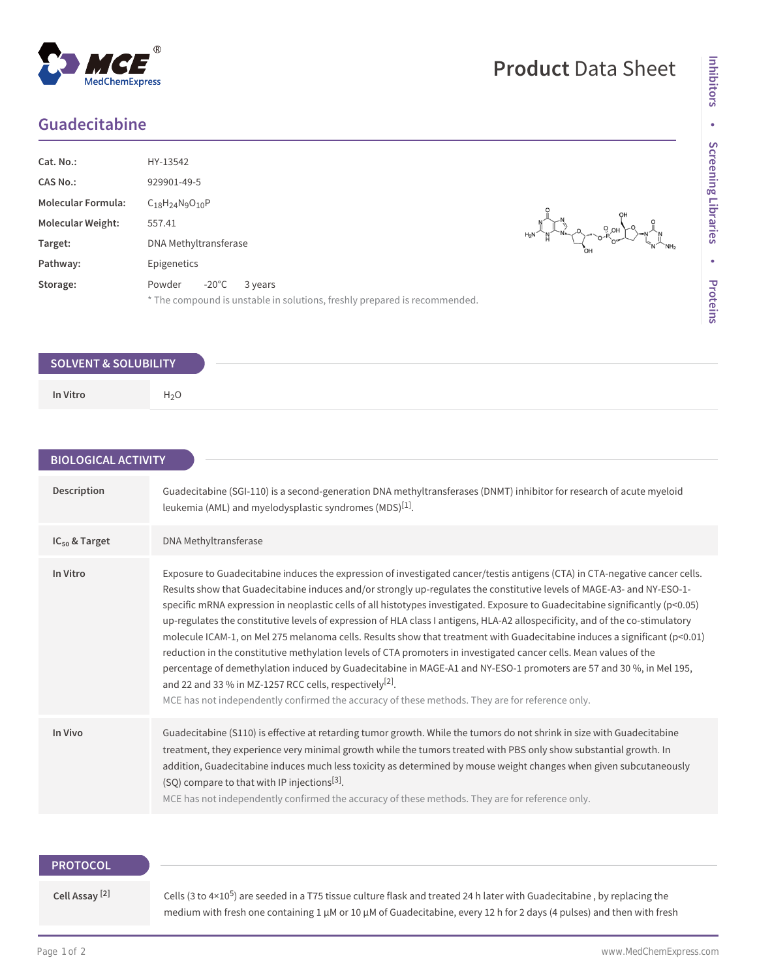## **Guadecitabine**

| Cat. No.:                 | HY-13542                                                                                                          |  |  |
|---------------------------|-------------------------------------------------------------------------------------------------------------------|--|--|
| <b>CAS No.:</b>           | 929901-49-5                                                                                                       |  |  |
| <b>Molecular Formula:</b> | $C_{18}H_{24}N_{9}O_{10}P$                                                                                        |  |  |
| <b>Molecular Weight:</b>  | 557.41                                                                                                            |  |  |
| Target:                   | DNA Methyltransferase                                                                                             |  |  |
| Pathway:                  | Epigenetics                                                                                                       |  |  |
| Storage:                  | $-20^{\circ}$ C<br>Powder<br>3 years<br>* The compound is unstable in solutions, freshly prepared is recommended. |  |  |

leukemia (AML) and myelodysplastic syndromes (MDS) $^{[1]}$ .

and 22 and 33 % in MZ-1257 RCC cells, respectively<sup>[2]</sup>.

(SQ) compare to that with IP injections<sup>[3]</sup>.

|                              | <b>SOLVENT &amp; SOLUBILITY</b> |  |
|------------------------------|---------------------------------|--|
|                              |                                 |  |
| In Vitro<br>H <sub>2</sub> O |                                 |  |

Description Guadecitabine (SGI-110) is a second-generation DNA methyltransferases (DNMT) inhibitor for research of acute myeloid

**In Vitro** Exposure to Guadecitabine induces the expression of investigated cancer/testis antigens (CTA) in CTA-negative cancer cells.

MCE has not independently confirmed the accuracy of these methods. They are for reference only.

MCE has not independently confirmed the accuracy of these methods. They are for reference only.

**In Vivo** Guadecitabine (S110) is effective at retarding tumor growth. While the tumors do not shrink in size with Guadecitabine

Results show that Guadecitabine induces and/or strongly up-regulates the constitutive levels of MAGE-A3- and NY-ESO-1 specific mRNA expression in neoplastic cells of all histotypes investigated. Exposure to Guadecitabine significantly (p<0.05) up-regulates the constitutive levels of expression of HLA class I antigens, HLA-A2 allospecificity, and of the co-stimulatory molecule ICAM-1, on Mel 275 melanoma cells. Results show that treatment with Guadecitabine induces a significant (p<0.01)

percentage of demethylation induced by Guadecitabine in MAGE-A1 and NY-ESO-1 promoters are 57 and 30 %, in Mel 195,

treatment, they experience very minimal growth while the tumors treated with PBS only show substantial growth. In addition, Guadecitabine induces much less toxicity as determined by mouse weight changes when given subcutaneously

reduction in the constitutive methylation levels of CTA promoters in investigated cancer cells. Mean values of the

Cells (3 to 4×10<sup>5</sup>) are seeded in a T75 tissue culture flask and treated 24 h later with Guadecitabine , by replacing the medium with fresh one containing 1 μM or 10 μM of Guadecitabine, every 12 h for 2 days (4 pulses) and then with fresh

 $\begin{picture}(180,10) \put(0,0){\line(1,0){155}} \put(10,0){\line(1,0){155}} \put(10,0){\line(1,0){155}} \put(10,0){\line(1,0){155}} \put(10,0){\line(1,0){155}} \put(10,0){\line(1,0){155}} \put(10,0){\line(1,0){155}} \put(10,0){\line(1,0){155}} \put(10,0){\line(1,0){155}} \put(10,0){\line(1,0){155}} \put(10,0){\line(1,0){155}}$ 



**BIOLOGICAL ACTIVITY**

**IC<sub>50</sub> & Target** DNA Methyltransferase

**PROTOCOL**

## **Cell Assay [2]**